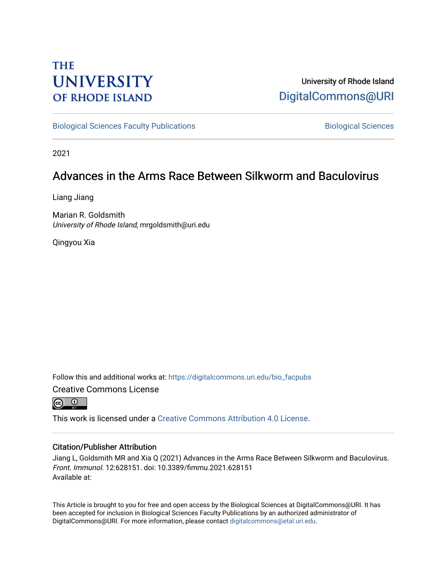# **THE UNIVERSITY OF RHODE ISLAND**

## University of Rhode Island [DigitalCommons@URI](https://digitalcommons.uri.edu/)

[Biological Sciences Faculty Publications](https://digitalcommons.uri.edu/bio_facpubs) **Biological Sciences** Biological Sciences

2021

## Advances in the Arms Race Between Silkworm and Baculovirus

Liang Jiang

Marian R. Goldsmith University of Rhode Island, mrgoldsmith@uri.edu

Qingyou Xia

Follow this and additional works at: [https://digitalcommons.uri.edu/bio\\_facpubs](https://digitalcommons.uri.edu/bio_facpubs?utm_source=digitalcommons.uri.edu%2Fbio_facpubs%2F337&utm_medium=PDF&utm_campaign=PDFCoverPages)  Creative Commons License



This work is licensed under a [Creative Commons Attribution 4.0 License](https://creativecommons.org/licenses/by/4.0/).

#### Citation/Publisher Attribution

Jiang L, Goldsmith MR and Xia Q (2021) Advances in the Arms Race Between Silkworm and Baculovirus. Front. Immunol. 12:628151. doi: 10.3389/fimmu.2021.628151 Available at:

This Article is brought to you for free and open access by the Biological Sciences at DigitalCommons@URI. It has been accepted for inclusion in Biological Sciences Faculty Publications by an authorized administrator of DigitalCommons@URI. For more information, please contact [digitalcommons@etal.uri.edu.](mailto:digitalcommons@etal.uri.edu)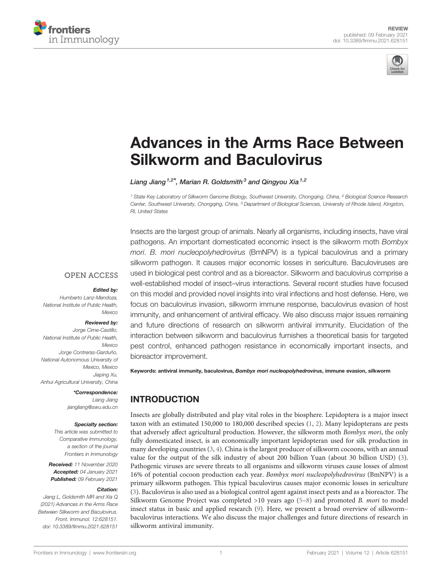



# [Advances in the Arms Race Between](https://www.frontiersin.org/articles/10.3389/fimmu.2021.628151/full) [Silkworm and Baculovirus](https://www.frontiersin.org/articles/10.3389/fimmu.2021.628151/full)

Liang Jiang<sup>1,2\*</sup>, Marian R. Goldsmith<sup>3</sup> and Qingyou Xia<sup>1,2</sup>

<sup>1</sup> State Key Laboratory of Silkworm Genome Biology, Southwest University, Chongqing, China, <sup>2</sup> Biological Science Research Center, Southwest University, Chongqing, China, <sup>3</sup> Department of Biological Sciences, University of Rhode Island, Kingston, RI, United States

Insects are the largest group of animals. Nearly all organisms, including insects, have viral pathogens. An important domesticated economic insect is the silkworm moth Bombyx mori. B. mori nucleopolyhedrovirus (BmNPV) is a typical baculovirus and a primary silkworm pathogen. It causes major economic losses in sericulture. Baculoviruses are used in biological pest control and as a bioreactor. Silkworm and baculovirus comprise a well-established model of insect–virus interactions. Several recent studies have focused on this model and provided novel insights into viral infections and host defense. Here, we focus on baculovirus invasion, silkworm immune response, baculovirus evasion of host immunity, and enhancement of antiviral efficacy. We also discuss major issues remaining and future directions of research on silkworm antiviral immunity. Elucidation of the interaction between silkworm and baculovirus furnishes a theoretical basis for targeted pest control, enhanced pathogen resistance in economically important insects, and bioreactor improvement.

Keywords: antiviral immunity, baculovirus, Bombyx mori nucleopolyhedrovirus, immune evasion, silkworm

## INTRODUCTION

Insects are globally distributed and play vital roles in the biosphere. Lepidoptera is a major insect taxon with an estimated 150,000 to 180,000 described species ([1,](#page-8-0) [2\)](#page-8-0). Many lepidopterans are pests that adversely affect agricultural production. However, the silkworm moth Bombyx mori, the only fully domesticated insect, is an economically important lepidopteran used for silk production in many developing countries ([3](#page-8-0), [4\)](#page-8-0). China is the largest producer of silkworm cocoons, with an annual value for the output of the silk industry of about 200 billion Yuan (about 30 billion USD) [\(3\)](#page-8-0). Pathogenic viruses are severe threats to all organisms and silkworm viruses cause losses of almost 16% of potential cocoon production each year. Bombyx mori nucleopolyhedrovirus (BmNPV) is a primary silkworm pathogen. This typical baculovirus causes major economic losses in sericulture [\(3\)](#page-8-0). Baculovirus is also used as a biological control agent against insect pests and as a bioreactor. The Silkworm Genome Project was completed  $>10$  years ago ([5](#page-8-0)–[8\)](#page-8-0) and promoted B. mori to model insect status in basic and applied research [\(9\)](#page-8-0). Here, we present a broad overview of silkworm– baculovirus interactions. We also discuss the major challenges and future directions of research in silkworm antiviral immunity.

#### **OPEN ACCESS**

#### Edited by:

Humberto Lanz-Mendoza, National Institute of Public Health, **Mexico** 

#### Reviewed by:

Jorge Cime-Castillo, National Institute of Public Health, **Mexico** Jorge Contreras-Garduño, National Autonomous University of Mexico, Mexico Jiaping Xu, Anhui Agricultural University, China

#### \*Correspondence:

Liang Jiang [jiangliang@swu.edu.cn](mailto:jiangliang@swu.edu.cn)

#### Specialty section:

This article was submitted to Comparative Immunology, a section of the journal Frontiers in Immunology

Received: 11 November 2020 Accepted: 04 January 2021 Published: 09 February 2021

#### Citation:

Jiang L, Goldsmith MR and Xia Q (2021) Advances in the Arms Race Between Silkworm and Baculovirus. Front. Immunol. 12:628151. [doi: 10.3389/fimmu.2021.628151](https://doi.org/10.3389/fimmu.2021.628151)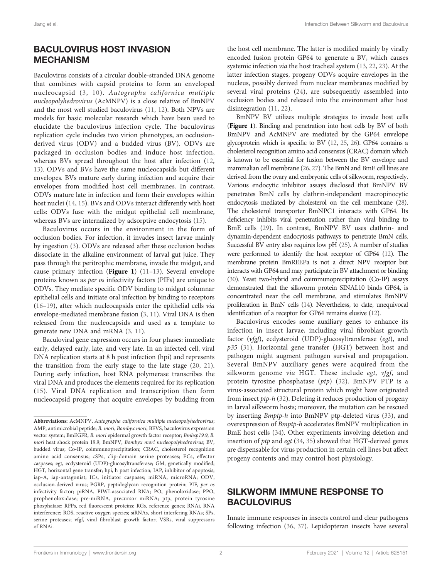#### BACULOVIRUS HOST INVASION MECHANISM

Baculovirus consists of a circular double-stranded DNA genome that combines with capsid proteins to form an enveloped nucleocapsid ([3](#page-8-0), [10\)](#page-8-0). Autographa californica multiple nucleopolyhedrovirus (AcMNPV) is a close relative of BmNPV and the most well studied baculovirus ([11,](#page-8-0) [12](#page-8-0)). Both NPVs are models for basic molecular research which have been used to elucidate the baculovirus infection cycle. The baculovirus replication cycle includes two virion phenotypes, an occlusionderived virus (ODV) and a budded virus (BV). ODVs are packaged in occlusion bodies and induce host infection, whereas BVs spread throughout the host after infection ([12](#page-8-0), [13](#page-8-0)). ODVs and BVs have the same nucleocapsids but different envelopes. BVs mature early during infection and acquire their envelopes from modified host cell membranes. In contrast, ODVs mature late in infection and form their envelopes within host nuclei ([14](#page-9-0), [15](#page-9-0)). BVs and ODVs interact differently with host cells: ODVs fuse with the midgut epithelial cell membrane, whereas BVs are internalized by adsorptive endocytosis ([15\)](#page-9-0).

Baculovirus occurs in the environment in the form of occlusion bodies. For infection, it invades insect larvae mainly by ingestion ([3](#page-8-0)). ODVs are released after these occlusion bodies dissociate in the alkaline environment of larval gut juice. They pass through the peritrophic membrane, invade the midgut, and cause primary infection ([Figure 1](#page-3-0))  $(11-13)$  $(11-13)$  $(11-13)$  $(11-13)$ . Several envelope proteins known as per os infectivity factors (PIFs) are unique to ODVs. They mediate specific ODV binding to midgut columnar epithelial cells and initiate oral infection by binding to receptors ([16](#page-9-0)–[19\)](#page-9-0), after which nucleocapsids enter the epithelial cells via envelope-mediated membrane fusion ([3](#page-8-0), [11\)](#page-8-0). Viral DNA is then released from the nucleocapsids and used as a template to generate new DNA and mRNA [\(3,](#page-8-0) [11\)](#page-8-0).

Baculoviral gene expression occurs in four phases: immediate early, delayed early, late, and very late. In an infected cell, viral DNA replication starts at 8 h post infection (hpi) and represents the transition from the early stage to the late stage [\(20](#page-9-0), [21\)](#page-9-0). During early infection, host RNA polymerase transcribes the viral DNA and produces the elements required for its replication ([15](#page-9-0)). Viral DNA replication and transcription then form nucleocapsid progeny that acquire envelopes by budding from

the host cell membrane. The latter is modified mainly by virally encoded fusion protein GP64 to generate a BV, which causes systemic infection via the host tracheal system [\(13](#page-8-0), [22](#page-9-0), [23](#page-9-0)). At the latter infection stages, progeny ODVs acquire envelopes in the nucleus, possibly derived from nuclear membranes modified by several viral proteins [\(24](#page-9-0)), are subsequently assembled into occlusion bodies and released into the environment after host disintegration ([11,](#page-8-0) [22\)](#page-9-0).

BmNPV BV utilizes multiple strategies to invade host cells ([Figure 1](#page-3-0)). Binding and penetration into host cells by BV of both BmNPV and AcMNPV are mediated by the GP64 envelope glycoprotein which is specific to BV [\(12](#page-8-0), [25](#page-9-0), [26\)](#page-9-0). GP64 contains a cholesterol recognition amino acid consensus (CRAC) domain which is known to be essential for fusion between the BV envelope and mammalian cell membrane [\(26](#page-9-0), [27\)](#page-9-0). The BmN and BmE cell lines are derived from the ovary and embryonic cells of silkworm, respectively. Various endocytic inhibitor assays disclosed that BmNPV BV penetrates BmN cells by clathrin-independent macropinocytic endocytosis mediated by cholesterol on the cell membrane [\(28\)](#page-9-0). The cholesterol transporter BmNPC1 interacts with GP64. Its deficiency inhibits viral penetration rather than viral binding to BmE cells ([29\)](#page-9-0). In contrast, BmNPV BV uses clathrin- and dynamin-dependent endocytosis pathways to penetrate BmN cells. Successful BV entry also requires low pH [\(25](#page-9-0)). A number of studies were performed to identify the host receptor of GP64 [\(12\)](#page-8-0). The membrane protein BmREEPa is not a direct NPV receptor but interacts with GP64 and may participate in BV attachment or binding [\(30\)](#page-9-0). Yeast two-hybrid and coimmunoprecipitation (Co-IP) assays demonstrated that the silkworm protein SINAL10 binds GP64, is concentrated near the cell membrane, and stimulates BmNPV proliferation in BmN cells [\(14](#page-9-0)). Nevertheless, to date, unequivocal identification of a receptor for GP64 remains elusive [\(12](#page-8-0)).

Baculovirus encodes some auxiliary genes to enhance its infection in insect larvae, including viral fibroblast growth factor (vfgf), ecdysteroid (UDP)-glucosyltransferase (egt), and p35 [\(31\)](#page-9-0). Horizontal gene transfer (HGT) between host and pathogen might augment pathogen survival and propagation. Several BmNPV auxiliary genes were acquired from the silkworm genome via HGT. These include egt, vfgf, and protein tyrosine phosphatase (ptp) ([32\)](#page-9-0). BmNPV PTP is a virus-associated structural protein which might have originated from insect ptp-h [\(32](#page-9-0)). Deleting it reduces production of progeny in larval silkworm hosts; moreover, the mutation can be rescued by inserting Bmptp-h into BmNPV ptp-deleted virus ([33\)](#page-9-0), and overexpression of Bmptp-h accelerates BmNPV multiplication in BmE host cells [\(34](#page-9-0)). Other experiments involving deletion and insertion of ptp and egt [\(34](#page-9-0), [35\)](#page-9-0) showed that HGT-derived genes are dispensable for virus production in certain cell lines but affect progeny contents and may control host physiology.

#### SILKWORM IMMUNE RESPONSE TO **BACULOVIRUS**

Innate immune responses in insects control and clear pathogens following infection ([36](#page-9-0), [37](#page-9-0)). Lepidopteran insects have several

Abbreviations: AcMNPV, Autographa californica multiple nucleopolyhedrovirus; AMP, antimicrobial peptide; B. mori, Bombyx mori; BEVS, baculovirus expression vector system; BmEGFR, B. mori epidermal growth factor receptor; Bmhsp19.9, B. mori heat shock protein 19.9; BmNPV, Bombyx mori nucleopolyhedrovirus; BV, budded virus; Co-IP, coimmunoprecipitation; CRAC, cholesterol recognition amino acid consensus; cSPs, clip-domain serine proteases; ECs, effector caspases; egt, ecdysteroid (UDP)-glucosyltransferase; GM, genetically modified; HGT, horizontal gene transfer; hpi, h post infection; IAP, inhibitor of apoptosis; iap-A, iap-antagonist; ICs, initiator caspases; miRNA, microRNA; ODV, occlusion-derived virus; PGRP, peptidoglycan recognition protein; PIF, per os infectivity factor; piRNA, PIWI-associated RNA; PO, phenoloxidase; PPO, prophenoloxidase; pre-miRNA, precursor miRNA; ptp, protein tyrosine phosphatase; RFPs, red fluorescent proteins; RGs, reference genes; RNAi, RNA interference; ROS, reactive oxygen species; siRNAs, short interfering RNAs; SPs, serine proteases; vfgf, viral fibroblast growth factor; VSRs, viral suppressors of RNAi.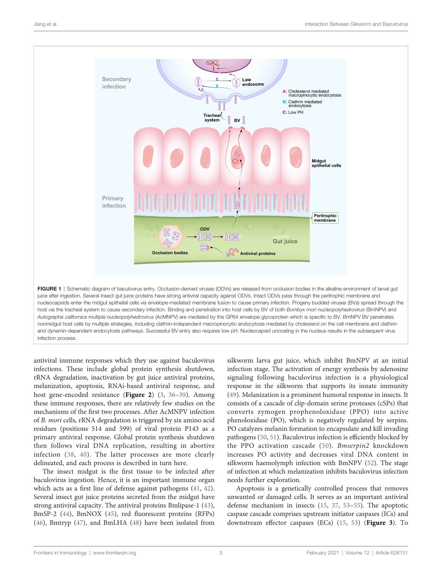<span id="page-3-0"></span>

antiviral immune responses which they use against baculovirus infections. These include global protein synthesis shutdown, rRNA degradation, inactivation by gut juice antiviral proteins, melanization, apoptosis, RNAi-based antiviral response, and host gene-encoded resistance ([Figure 2](#page-4-0)) ([3](#page-8-0), [36](#page-9-0)-[39](#page-9-0)). Among these immune responses, there are relatively few studies on the mechanisms of the first two processes. After AcMNPV infection of B. mori cells, rRNA degradation is triggered by six amino acid residues (positions 514 and 599) of viral protein P143 as a primary antiviral response. Global protein synthesis shutdown then follows viral DNA replication, resulting in abortive infection [\(38](#page-9-0), [40](#page-9-0)). The latter processes are more clearly delineated, and each process is described in turn here.

The insect midgut is the first tissue to be infected after baculovirus ingestion. Hence, it is an important immune organ which acts as a first line of defense against pathogens [\(41](#page-9-0), [42\)](#page-9-0). Several insect gut juice proteins secreted from the midgut have strong antiviral capacity. The antiviral proteins Bmlipase-1 ([43\)](#page-9-0), BmSP-2 [\(44](#page-9-0)), BmNOX ([45\)](#page-9-0), red fluorescent proteins (RFPs) ([46\)](#page-9-0), Bmtryp ([47\)](#page-9-0), and BmLHA [\(48\)](#page-9-0) have been isolated from

silkworm larva gut juice, which inhibit BmNPV at an initial infection stage. The activation of energy synthesis by adenosine signaling following baculovirus infection is a physiological response in the silkworm that supports its innate immunity [\(49\)](#page-9-0). Melanization is a prominent humoral response in insects. It consists of a cascade of clip-domain serine proteases (cSPs) that converts zymogen prophenoloxidase (PPO) into active phenoloxidase (PO), which is negatively regulated by serpins. PO catalyzes melanin formation to encapsulate and kill invading pathogens [\(50](#page-9-0), [51\)](#page-9-0). Baculovirus infection is efficiently blocked by the PPO activation cascade ([50](#page-9-0)). Bmserpin2 knockdown increases PO activity and decreases viral DNA content in silkworm haemolymph infection with BmNPV ([52\)](#page-9-0). The stage of infection at which melanization inhibits baculovirus infection needs further exploration.

Apoptosis is a genetically controlled process that removes unwanted or damaged cells. It serves as an important antiviral defense mechanism in insects [\(15,](#page-9-0) [37,](#page-9-0) [53](#page-10-0)–[55](#page-10-0)). The apoptotic caspase cascade comprises upstream initiator caspases (ICs) and downstream effector caspases (ECs) [\(15](#page-9-0), [53](#page-10-0)) ([Figure 3](#page-5-0)). To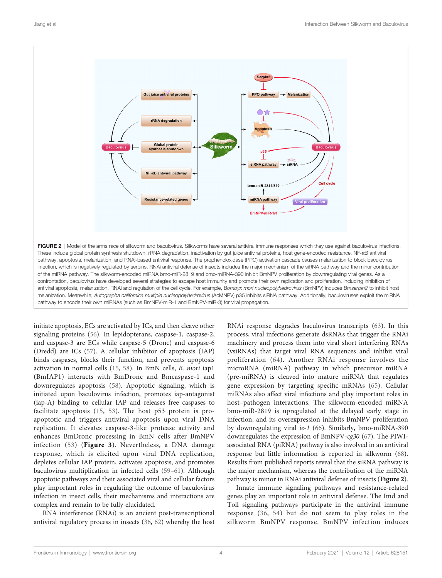<span id="page-4-0"></span>

antiviral apoptosis, melanization, RNAi and regulation of the cell cycle. For example, Bombyx mori nucleopolyhedrovirus (BmNPV) induces Bmserpin2 to inhibit host melanization. Meanwhile, Autographa californica multiple nucleopolyhedrovirus (AcMNPV) p35 inhibits siRNA pathway. Additionally, baculoviruses exploit the miRNA pathway to encode their own miRNAs (such as BmNPV-miR-1 and BmNPV-miR-3) for viral propagation.

initiate apoptosis, ECs are activated by ICs, and then cleave other signaling proteins [\(56](#page-10-0)). In lepidopterans, caspase-1, caspase-2, and caspase-3 are ECs while caspase-5 (Dronc) and caspase-6 (Dredd) are ICs ([57\)](#page-10-0). A cellular inhibitor of apoptosis (IAP) binds caspases, blocks their function, and prevents apoptosis activation in normal cells ([15](#page-9-0), [58\)](#page-10-0). In BmN cells, B. mori iap1 (BmIAP1) interacts with BmDronc and Bmcaspase-1 and downregulates apoptosis [\(58\)](#page-10-0). Apoptotic signaling, which is initiated upon baculovirus infection, promotes iap-antagonist (iap-A) binding to cellular IAP and releases free caspases to facilitate apoptosis [\(15,](#page-9-0) [53](#page-10-0)). The host p53 protein is proapoptotic and triggers antiviral apoptosis upon viral DNA replication. It elevates caspase-3-like protease activity and enhances BmDronc processing in BmN cells after BmNPV infection ([53\)](#page-10-0) ([Figure 3](#page-5-0)). Nevertheless, a DNA damage response, which is elicited upon viral DNA replication, depletes cellular IAP protein, activates apoptosis, and promotes baculovirus multiplication in infected cells ([59](#page-10-0)–[61\)](#page-10-0). Although apoptotic pathways and their associated viral and cellular factors play important roles in regulating the outcome of baculovirus infection in insect cells, their mechanisms and interactions are complex and remain to be fully elucidated.

RNA interference (RNAi) is an ancient post-transcriptional antiviral regulatory process in insects [\(36](#page-9-0), [62](#page-10-0)) whereby the host

RNAi response degrades baculovirus transcripts [\(63](#page-10-0)). In this process, viral infections generate dsRNAs that trigger the RNAi machinery and process them into viral short interfering RNAs (vsiRNAs) that target viral RNA sequences and inhibit viral proliferation ([64](#page-10-0)). Another RNAi response involves the microRNA (miRNA) pathway in which precursor miRNA (pre-miRNA) is cleaved into mature miRNA that regulates gene expression by targeting specific mRNAs ([65](#page-10-0)). Cellular miRNAs also affect viral infections and play important roles in host–pathogen interactions. The silkworm-encoded miRNA bmo-miR-2819 is upregulated at the delayed early stage in infection, and its overexpression inhibits BmNPV proliferation by downregulating viral ie-1 [\(66\)](#page-10-0). Similarly, bmo-miRNA-390 downregulates the expression of BmNPV-cg30 ([67\)](#page-10-0). The PIWIassociated RNA (piRNA) pathway is also involved in an antiviral response but little information is reported in silkworm [\(68\)](#page-10-0). Results from published reports reveal that the siRNA pathway is the major mechanism, whereas the contribution of the miRNA pathway is minor in RNAi antiviral defense of insects (Figure 2).

Innate immune signaling pathways and resistance-related genes play an important role in antiviral defense. The Imd and Toll signaling pathways participate in the antiviral immune response [\(36](#page-9-0), [54](#page-10-0)) but do not seem to play roles in the silkworm BmNPV response. BmNPV infection induces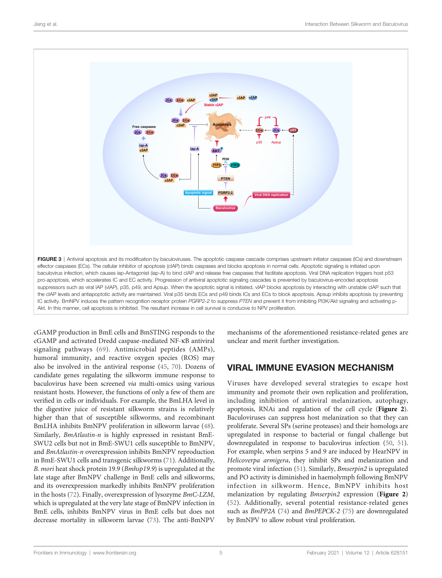<span id="page-5-0"></span>

cGAMP production in BmE cells and BmSTING responds to the cGAMP and activated Dredd caspase-mediated NF-kB antiviral signaling pathways [\(69](#page-10-0)). Antimicrobial peptides (AMPs), humoral immunity, and reactive oxygen species (ROS) may also be involved in the antiviral response [\(45](#page-9-0), [70](#page-10-0)). Dozens of candidate genes regulating the silkworm immune response to baculovirus have been screened via multi-omics using various resistant hosts. However, the functions of only a few of them are verified in cells or individuals. For example, the BmLHA level in the digestive juice of resistant silkworm strains is relatively higher than that of susceptible silkworms, and recombinant BmLHA inhibits BmNPV proliferation in silkworm larvae ([48\)](#page-9-0). Similarly, BmAtlastin-n is highly expressed in resistant BmE-SWU2 cells but not in BmE-SWU1 cells susceptible to BmNPV, and BmAtlastin-n overexpression inhibits BmNPV reproduction in BmE-SWU1 cells and transgenic silkworms [\(71](#page-10-0)). Additionally, B. mori heat shock protein 19.9 (Bmhsp19.9) is upregulated at the late stage after BmNPV challenge in BmE cells and silkworms, and its overexpression markedly inhibits BmNPV proliferation in the hosts [\(72](#page-10-0)). Finally, overexpression of lysozyme BmC-LZM, which is upregulated at the very late stage of BmNPV infection in BmE cells, inhibits BmNPV virus in BmE cells but does not decrease mortality in silkworm larvae [\(73\)](#page-10-0). The anti-BmNPV

mechanisms of the aforementioned resistance-related genes are unclear and merit further investigation.

## VIRAL IMMUNE EVASION MECHANISM

Viruses have developed several strategies to escape host immunity and promote their own replication and proliferation, including inhibition of antiviral melanization, autophagy, apoptosis, RNAi and regulation of the cell cycle ([Figure 2](#page-4-0)). Baculoviruses can suppress host melanization so that they can proliferate. Several SPs (serine proteases) and their homologs are upregulated in response to bacterial or fungal challenge but downregulated in response to baculovirus infection ([50,](#page-9-0) [51\)](#page-9-0). For example, when serpins 5 and 9 are induced by HearNPV in Helicoverpa armigera, they inhibit SPs and melanization and promote viral infection [\(51](#page-9-0)). Similarly, Bmserpin2 is upregulated and PO activity is diminished in haemolymph following BmNPV infection in silkworm. Hence, BmNPV inhibits host melanization by regulating *Bmserpin2* expression ([Figure 2](#page-4-0)) [\(52\)](#page-9-0). Additionally, several potential resistance-related genes such as BmPP2A ([74](#page-10-0)) and BmPEPCK-2 ([75](#page-10-0)) are downregulated by BmNPV to allow robust viral proliferation.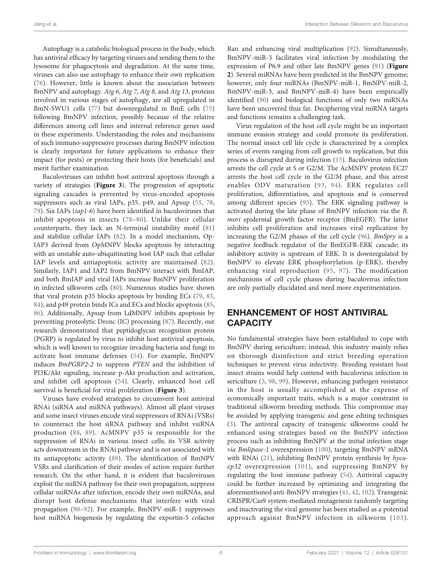Autophagy is a catabolic biological process in the body, which has antiviral efficacy by targeting viruses and sending them to the lysosome for phagocytosis and degradation. At the same time, viruses can also use autophagy to enhance their own replication ([76\)](#page-10-0). However, little is known about the association between BmNPV and autophagy. Atg 6, Atg 7, Atg 8, and Atg 13, proteins involved in various stages of autophagy, are all upregulated in BmN-SWU1 cells ([77\)](#page-10-0) but downregulated in BmE cells ([75\)](#page-10-0) following BmNPV infection, possibly because of the relative differences among cell lines and internal reference genes used in these experiments. Understanding the roles and mechanisms of such immuno-suppressive processes during BmNPV infection is clearly important for future applications to enhance their impact (for pests) or protecting their hosts (for beneficials) and merit further examination.

Baculoviruses can inhibit host antiviral apoptosis through a variety of strategies ([Figure 3](#page-5-0)). The progression of apoptotic signaling cascades is prevented by virus-encoded apoptosis suppressors such as viral IAPs, p35, p49, and Apsup ([55,](#page-10-0) [78](#page-10-0), [79](#page-10-0)). Six IAPs (iap1-6) have been identified in baculoviruses that inhibit apoptosis in insects ([78](#page-10-0)–[80](#page-10-0)). Unlike their cellular counterparts, they lack an N-terminal instability motif ([81\)](#page-10-0) and stabilize cellular IAPs [\(82](#page-10-0)). In a model mechanism, Op-IAP3 derived from OpMNPV blocks apoptosis by interacting with an unstable auto-ubiquitinating host IAP such that cellular IAP levels and antiapoptotic activity are maintained ([82\)](#page-10-0). Similarly, IAP1 and IAP2 from BmNPV interact with BmIAP, and both BmIAP and viral IAPs increase BmNPV proliferation in infected silkworm cells ([80\)](#page-10-0). Numerous studies have shown that viral protein p35 blocks apoptosis by binding ECs ([79,](#page-10-0) [83](#page-10-0), [84](#page-10-0)), and p49 protein binds ICs and ECs and blocks apoptosis ([85](#page-10-0), [86](#page-10-0)). Additionally, Apsup from LdMNPV inhibits apoptosis by preventing proteolytic Dronc (IC) processing [\(87](#page-10-0)). Recently, our research demonstrated that peptidoglycan recognition protein (PGRP) is regulated by virus to inhibit host antiviral apoptosis, which is well known to recognize invading bacteria and fungi to activate host immune defenses [\(54\)](#page-10-0). For example, BmNPV induces BmPGRP2-2 to suppress PTEN and the inhibition of PI3K/Akt signaling, increase p-Akt production and activation, and inhibit cell apoptosis [\(54\)](#page-10-0). Clearly, enhanced host cell survival is beneficial for viral proliferation ([Figure 3](#page-5-0)).

Viruses have evolved strategies to circumvent host antiviral RNAi (siRNA and miRNA pathways). Almost all plant viruses and some insect viruses encode viral suppressors of RNAi (VSRs) to counteract the host siRNA pathway and inhibit vsiRNA production ([88,](#page-10-0) [89](#page-10-0)). AcMNPV p35 is responsible for the suppression of RNAi in various insect cells; its VSR activity acts downstream in the RNAi pathway and is not associated with its antiapoptotic activity [\(89](#page-10-0)). The identification of BmNPV VSRs and clarification of their modes of action require further research. On the other hand, it is evident that baculoviruses exploit the miRNA pathway for their own propagation, suppress cellular miRNAs after infection, encode their own miRNAs, and disrupt host defense mechanisms that interfere with viral propagation ([90](#page-10-0)–[92\)](#page-10-0). For example, BmNPV-miR-1 suppresses host miRNA biogenesis by regulating the exportin-5 cofactor

Ran and enhancing viral multiplication ([92](#page-10-0)). Simultaneously, BmNPV-miR-3 facilitates viral infection by modulating the expression of P6.9 and other late BmNPV genes ([91\)](#page-10-0) ([Figure](#page-4-0) [2](#page-4-0)). Several miRNAs have been predicted in the BmNPV genome; however, only four miRNAs (BmNPV-miR-1, BmNPV-miR-2, BmNPV-miR-3, and BmNPV-miR-4) have been empirically identified ([90\)](#page-10-0) and biological functions of only two miRNAs have been uncovered thus far. Deciphering viral miRNA targets and functions remains a challenging task.

Virus regulation of the host cell cycle might be an important immune evasion strategy and could promote its proliferation. The normal insect cell life cycle is characterized by a complex series of events ranging from cell growth to replication, but this process is disrupted during infection ([15](#page-9-0)). Baculovirus infection arrests the cell cycle at S or G2/M. The AcMNPV protein EC27 arrests the host cell cycle in the G2/M phase, and this arrest enables ODV maturation ([93,](#page-11-0) [94\)](#page-11-0). ERK regulates cell proliferation, differentiation, and apoptosis and is conserved among different species ([95\)](#page-11-0). The ERK signaling pathway is activated during the late phase of BmNPV infection via the B. mori epidermal growth factor receptor (BmEGFR). The latter inhibits cell proliferation and increases viral replication by increasing the G2/M phases of the cell cycle ([96\)](#page-11-0). BmSpry is a negative feedback regulator of the BmEGFR-ERK cascade; its inhibitory activity is upstream of ERK. It is downregulated by BmNPV to elevate ERK phosphorylation (p-ERK), thereby enhancing viral reproduction [\(95](#page-11-0), [97](#page-11-0)). The modification mechanisms of cell cycle phases during baculovirus infection are only partially elucidated and need more experimentation.

## ENHANCEMENT OF HOST ANTIVIRAL **CAPACITY**

No fundamental strategies have been established to cope with BmNPV during sericulture; instead, this industry mainly relies on thorough disinfection and strict breeding operation techniques to prevent virus infectivity. Breeding resistant host insect strains would help contend with baculovirus infection in sericulture [\(3,](#page-8-0) [98,](#page-11-0) [99](#page-11-0)). However, enhancing pathogen resistance in the host is usually accomplished at the expense of economically important traits, which is a major constraint in traditional silkworm breeding methods. This compromise may be avoided by applying transgenic and gene editing techniques [\(3\)](#page-8-0). The antiviral capacity of transgenic silkworms could be enhanced using strategies based on the BmNPV infection process such as inhibiting BmNPV at the initial infection stage via Bmlipase-1 overexpression [\(100](#page-11-0)), targeting BmNPV mRNA with RNAi ([21\)](#page-9-0), inhibiting BmNPV protein synthesis by hycuep32 overexpression ([101\)](#page-11-0), and suppressing BmNPV by regulating the host immune pathway ([54\)](#page-10-0). Antiviral capacity could be further increased by optimizing and integrating the aforementioned anti-BmNPV strategies ([41,](#page-9-0) [42,](#page-9-0) [102\)](#page-11-0). Transgenic CRISPR/Cas9 system-mediated mutagenesis randomly targeting and inactivating the viral genome has been studied as a potential approach against BmNPV infection in silkworm ([103](#page-11-0)).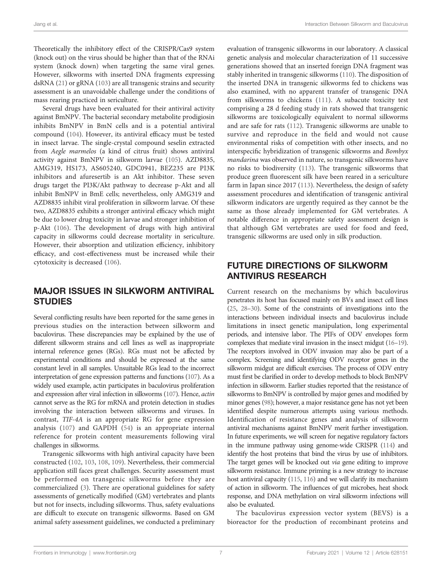Theoretically the inhibitory effect of the CRISPR/Cas9 system (knock out) on the virus should be higher than that of the RNAi system (knock down) when targeting the same viral genes. However, silkworms with inserted DNA fragments expressing dsRNA [\(21\)](#page-9-0) or gRNA [\(103\)](#page-11-0) are all transgenic strains and security assessment is an unavoidable challenge under the conditions of mass rearing practiced in sericulture.

Several drugs have been evaluated for their antiviral activity against BmNPV. The bacterial secondary metabolite prodigiosin inhibits BmNPV in BmN cells and is a potential antiviral compound [\(104\)](#page-11-0). However, its antiviral efficacy must be tested in insect larvae. The single-crystal compound seselin extracted from Aegle marmelos (a kind of citrus fruit) shows antiviral activity against BmNPV in silkworm larvae [\(105](#page-11-0)). AZD8835, AMG319, HS173, AS605240, GDC0941, BEZ235 are PI3K inhibitors and afuresertib is an Akt inhibitor. These seven drugs target the PI3K/Akt pathway to decrease p-Akt and all inhibit BmNPV in BmE cells; nevertheless, only AMG319 and AZD8835 inhibit viral proliferation in silkworm larvae. Of these two, AZD8835 exhibits a stronger antiviral efficacy which might be due to lower drug toxicity in larvae and stronger inhibition of p-Akt [\(106](#page-11-0)). The development of drugs with high antiviral capacity in silkworms could decrease mortality in sericulture. However, their absorption and utilization efficiency, inhibitory efficacy, and cost-effectiveness must be increased while their cytotoxicity is decreased [\(106\)](#page-11-0).

#### MAJOR ISSUES IN SILKWORM ANTIVIRAL **STUDIES**

Several conflicting results have been reported for the same genes in previous studies on the interaction between silkworm and baculovirus. These discrepancies may be explained by the use of different silkworm strains and cell lines as well as inappropriate internal reference genes (RGs). RGs must not be affected by experimental conditions and should be expressed at the same constant level in all samples. Unsuitable RGs lead to the incorrect interpretation of gene expression patterns and functions [\(107\)](#page-11-0). As a widely used example, actin participates in baculovirus proliferation and expression after viral infection in silkworms ([107\)](#page-11-0). Hence, actin cannot serve as the RG for mRNA and protein detection in studies involving the interaction between silkworms and viruses. In contrast, TIF-4A is an appropriate RG for gene expression analysis ([107](#page-11-0)) and GAPDH ([54\)](#page-10-0) is an appropriate internal reference for protein content measurements following viral challenges in silkworms.

Transgenic silkworms with high antiviral capacity have been constructed [\(102](#page-11-0), [103](#page-11-0), [108,](#page-11-0) [109\)](#page-11-0). Nevertheless, their commercial application still faces great challenges. Security assessment must be performed on transgenic silkworms before they are commercialized ([3](#page-8-0)). There are operational guidelines for safety assessments of genetically modified (GM) vertebrates and plants but not for insects, including silkworms. Thus, safety evaluations are difficult to execute on transgenic silkworms. Based on GM animal safety assessment guidelines, we conducted a preliminary evaluation of transgenic silkworms in our laboratory. A classical genetic analysis and molecular characterization of 11 successive generations showed that an inserted foreign DNA fragment was stably inherited in transgenic silkworms ([110\)](#page-11-0). The disposition of the inserted DNA in transgenic silkworms fed to chickens was also examined, with no apparent transfer of transgenic DNA from silkworms to chickens ([111](#page-11-0)). A subacute toxicity test comprising a 28 d feeding study in rats showed that transgenic silkworms are toxicologically equivalent to normal silkworms and are safe for rats [\(112\)](#page-11-0). Transgenic silkworms are unable to survive and reproduce in the field and would not cause environmental risks of competition with other insects, and no interspecific hybridization of transgenic silkworms and Bombyx mandarina was observed in nature, so transgenic silkworms have no risks to biodiversity [\(113\)](#page-11-0). The transgenic silkworms that produce green fluorescent silk have been reared in a sericulture farm in Japan since 2017 ([113](#page-11-0)). Nevertheless, the design of safety assessment procedures and identification of transgenic antiviral silkworm indicators are urgently required as they cannot be the same as those already implemented for GM vertebrates. A notable difference in appropriate safety assessment design is that although GM vertebrates are used for food and feed, transgenic silkworms are used only in silk production.

### FUTURE DIRECTIONS OF SILKWORM ANTIVIRUS RESEARCH

Current research on the mechanisms by which baculovirus penetrates its host has focused mainly on BVs and insect cell lines [\(25,](#page-9-0) [28](#page-9-0)–[30\)](#page-9-0). Some of the constraints of investigations into the interactions between individual insects and baculovirus include limitations in insect genetic manipulation, long experimental periods, and intensive labor. The PIFs of ODV envelopes form complexes that mediate viral invasion in the insect midgut ([16](#page-9-0)–[19\)](#page-9-0). The receptors involved in ODV invasion may also be part of a complex. Screening and identifying ODV receptor genes in the silkworm midgut are difficult exercises. The process of ODV entry must first be clarified in order to develop methods to block BmNPV infection in silkworm. Earlier studies reported that the resistance of silkworms to BmNPV is controlled by major genes and modified by minor genes [\(98\)](#page-11-0); however, a major resistance gene has not yet been identified despite numerous attempts using various methods. Identification of resistance genes and analysis of silkworm antiviral mechanisms against BmNPV merit further investigation. In future experiments, we will screen for negative regulatory factors in the immune pathway using genome-wide CRISPR [\(114\)](#page-11-0) and identify the host proteins that bind the virus by use of inhibitors. The target genes will be knocked out via gene editing to improve silkworm resistance. Immune priming is a new strategy to increase host antiviral capacity [\(115,](#page-11-0) [116](#page-11-0)) and we will clarify its mechanism of action in silkworm. The influences of gut microbes, heat shock response, and DNA methylation on viral silkworm infections will also be evaluated.

The baculovirus expression vector system (BEVS) is a bioreactor for the production of recombinant proteins and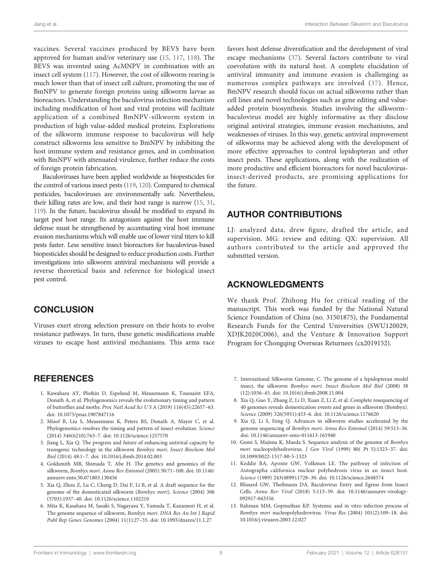<span id="page-8-0"></span>Jiang et al. Interaction Between Silkworm and Baculovirus

vaccines. Several vaccines produced by BEVS have been approved for human and/or veterinary use [\(15](#page-9-0), [117,](#page-11-0) [118\)](#page-11-0). The BEVS was invented using AcMNPV in combination with an insect cell system ([117](#page-11-0)). However, the cost of silkworm rearing is much lower than that of insect cell culture, promoting the use of BmNPV to generate foreign proteins using silkworm larvae as bioreactors. Understanding the baculovirus infection mechanism including modification of host and viral proteins will facilitate application of a combined BmNPV-silkworm system in production of high value-added medical proteins. Explorations of the silkworm immune response to baculovirus will help construct silkworms less sensitive to BmNPV by inhibiting the host immune system and resistance genes, and in combination with BmNPV with attenuated virulence, further reduce the costs of foreign protein fabrication.

Baculoviruses have been applied worldwide as biopesticides for the control of various insect pests ([119,](#page-11-0) [120\)](#page-11-0). Compared to chemical pesticides, baculoviruses are environmentally safe. Nevertheless, their killing rates are low, and their host range is narrow [\(15](#page-9-0), [31](#page-9-0), [119](#page-11-0)). In the future, baculovirus should be modified to expand its target pest host range. Its antagonism against the host immune defense must be strengthened by accentuating viral host immune evasion mechanisms which will enable use of lower viral titers to kill pests faster. Less sensitive insect bioreactors for baculovirus-based biopesticides should be designed to reduce production costs. Further investigations into silkworm antiviral mechanisms will provide a reverse theoretical basis and reference for biological insect pest control.

#### **CONCLUSION**

Viruses exert strong selection pressure on their hosts to evolve resistance pathways. In turn, these genetic modifications enable viruses to escape host antiviral mechanisms. This arms race

#### **REFERENCES**

- 1. Kawahara AY, Plotkin D, Espeland M, Meusemann K, Toussaint EFA, Donath A, et al. Phylogenomics reveals the evolutionary timing and pattern of butterflies and moths. Proc Natl Acad Sci U S A (2019) 116(45):22657–63. doi: [10.1073/pnas.1907847116](https://doi.org/10.1073/pnas.1907847116)
- 2. Misof B, Liu S, Meusemann K, Peters RS, Donath A, Mayer C, et al. Phylogenomics resolves the timing and pattern of insect evolution. Science (2014) 346(6210):763–7. doi: [10.1126/science.1257570](https://doi.org/10.1126/science.1257570)
- 3. Jiang L, Xia Q. The progress and future of enhancing antiviral capacity by transgenic technology in the silkworm Bombyx mori. Insect Biochem Mol Biol (2014) 48:1–7. doi: [10.1016/j.ibmb.2014.02.003](https://doi.org/10.1016/j.ibmb.2014.02.003)
- 4. Goldsmith MR, Shimada T, Abe H. The genetics and genomics of the silkworm, Bombyx mori. Annu Rev Entomol (2005) 50:71–100. doi: [10.1146/](https://doi.org/10.1146/annurev.ento.50.071803.130456) [annurev.ento.50.071803.130456](https://doi.org/10.1146/annurev.ento.50.071803.130456)
- 5. Xia Q, Zhou Z, Lu C, Cheng D, Dai F, Li B, et al. A draft sequence for the genome of the domesticated silkworm (Bombyx mori). Science (2004) 306 (5703):1937–40. doi: [10.1126/science.1102210](https://doi.org/10.1126/science.1102210)
- 6. Mita K, Kasahara M, Sasaki S, Nagayasu Y, Yamada T, Kanamori H, et al. The genome sequence of silkworm, Bombyx mori. DNA Res An Int J Rapid Publ Rep Genes Genomes (2004) 11(1):27–35. doi: [10.1093/dnares/11.1.27](https://doi.org/10.1093/dnares/11.1.27)

favors host defense diversification and the development of viral escape mechanisms [\(37\)](#page-9-0). Several factors contribute to viral coevolution with its natural host. A complete elucidation of antiviral immunity and immune evasion is challenging as numerous complex pathways are involved ([37](#page-9-0)). Hence, BmNPV research should focus on actual silkworms rather than cell lines and novel technologies such as gene editing and valueadded protein biosynthesis. Studies involving the silkworm– baculovirus model are highly informative as they disclose original antiviral strategies, immune evasion mechanisms, and weaknesses of viruses. In this way, genetic antiviral improvement of silkworms may be achieved along with the development of more effective approaches to control lepidopteran and other insect pests. These applications, along with the realization of more productive and efficient bioreactors for novel baculovirusinsect-derived products, are promising applications for the future.

### AUTHOR CONTRIBUTIONS

LJ: analyzed data, drew figure, drafted the article, and supervision. MG: review and editing. QX: supervision. All authors contributed to the article and approved the submitted version.

#### ACKNOWLEDGMENTS

We thank Prof. Zhihong Hu for critical reading of the manuscript. This work was funded by the National Natural Science Foundation of China (no. 31501875), the Fundamental Research Funds for the Central Universities (SWU120029, XDJK2020C006), and the Venture & Innovation Support Program for Chongqing Overseas Returnees (cx2019152).

- 7. International Silkworm Genome, C. The genome of a lepidopteran model insect, the silkworm Bombyx mori. Insect Biochem Mol Biol (2008) 38 (12):1036–45. doi: [10.1016/j.ibmb.2008.11.004](https://doi.org/10.1016/j.ibmb.2008.11.004)
- 8. Xia Q, Guo Y, Zhang Z, Li D, Xuan Z, Li Z, et al. Complete resequencing of 40 genomes reveals domestication events and genes in silkworm (Bombyx). Science (2009) 326(5951):433–6. doi: [10.1126/science.1176620](https://doi.org/10.1126/science.1176620)
- 9. Xia Q, Li S, Feng Q. Advances in silkworm studies accelerated by the genome sequencing of Bombyx mori. Annu Rev Entomol (2014) 59:513–36. doi: [10.1146/annurev-ento-011613-161940](https://doi.org/10.1146/annurev-ento-011613-161940)
- 10. Gomi S, Majima K, Maeda S. Sequence analysis of the genome of Bombyx mori nucleopolyhedrovirus. J Gen Virol (1999) 80( Pt 5):1323–37. doi: [10.1099/0022-1317-80-5-1323](https://doi.org/10.1099/0022-1317-80-5-1323)
- 11. Keddie BA, Aponte GW, Volkman LE. The pathway of infection of Autographa californica nuclear polyhedrosis virus in an insect host. Science (1989) 243(4899):1728–30. doi: [10.1126/science.2648574](https://doi.org/10.1126/science.2648574)
- 12. Blissard GW, Theilmann DA. Baculovirus Entry and Egress from Insect Cells. Annu Rev Virol (2018) 5:113–39. doi: [10.1146/annurev-virology-](https://doi.org/10.1146/annurev-virology-092917-043356)[092917-043356](https://doi.org/10.1146/annurev-virology-092917-043356)
- 13. Rahman MM, Gopinathan KP. Systemic and in vitro infection process of Bombyx mori nucleopolyhedrovirus. Virus Res (2004) 101(2):109–18. doi: [10.1016/j.virusres.2003.12.027](https://doi.org/10.1016/j.virusres.2003.12.027)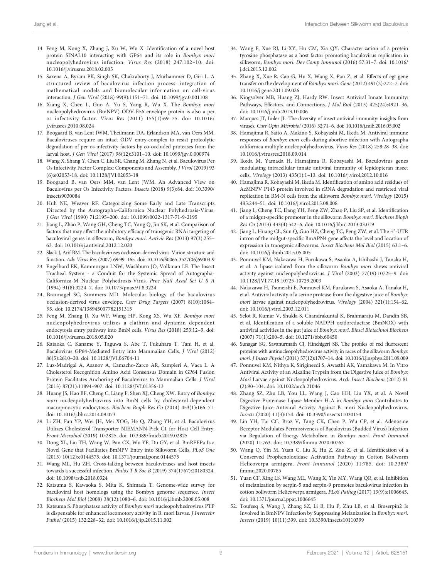- <span id="page-9-0"></span>14. Feng M, Kong X, Zhang J, Xu W, Wu X. Identification of a novel host protein SINAL10 interacting with GP64 and its role in Bombyx mori nucleopolyhedrovirus infection. Virus Res (2018) 247:102–10. doi: [10.1016/j.virusres.2018.02.005](https://doi.org/10.1016/j.virusres.2018.02.005)
- 15. Saxena A, Byram PK, Singh SK, Chakraborty J, Murhammer D, Giri L. A structured review of baculovirus infection process: integration of mathematical models and biomolecular information on cell-virus interaction. J Gen Virol (2018) 99(9):1151–71. doi: [10.1099/jgv.0.001108](https://doi.org/10.1099/jgv.0.001108)
- 16. Xiang X, Chen L, Guo A, Yu S, Yang R, Wu X. The Bombyx mori nucleopolyhedrovirus (BmNPV) ODV-E56 envelope protein is also a per os infectivity factor. Virus Res (2011) 155(1):69–75. doi: [10.1016/](https://doi.org/10.1016/j.virusres.2010.08.024) [j.virusres.2010.08.024](https://doi.org/10.1016/j.virusres.2010.08.024)
- 17. Boogaard B, van Lent JWM, Theilmann DA, Erlandson MA, van Oers MM. Baculoviruses require an intact ODV entry-complex to resist proteolytic degradation of per os infectivity factors by co-occluded proteases from the larval host. J Gen Virol (2017) 98(12):3101–10. doi: [10.1099/jgv.0.000974](https://doi.org/10.1099/jgv.0.000974)
- 18. Wang X, Shang Y, Chen C, Liu SR, Chang M, Zhang N, et al. Baculovirus Per Os Infectivity Factor Complex: Components and Assembly. J Virol (2019) 93 (6):e02053-18. doi: [10.1128/JVI.02053-18](https://doi.org/10.1128/JVI.02053-18)
- 19. Boogaard B, van Oers MM, van Lent JWM. An Advanced View on Baculovirus per Os Infectivity Factors. Insects (2018) 9(3):84. doi: [10.3390/](https://doi.org/10.3390/insects9030084) [insects9030084](https://doi.org/10.3390/insects9030084)
- 20. Huh NE, Weaver RF. Categorizing Some Early and Late Transcripts Directed by the Autographa-Californica Nuclear Polyhedrosis-Virus. J Gen Virol (1990) 71:2195–200. doi: [10.1099/0022-1317-71-9-2195](https://doi.org/10.1099/0022-1317-71-9-2195)
- 21. Jiang L, Zhao P, Wang GH, Cheng TC, Yang Q, Jin SK, et al. Comparison of factors that may affect the inhibitory efficacy of transgenic RNAi targeting of baculoviral genes in silkworm, Bombyx mori. Antivir Res (2013) 97(3):255– 63. doi: [10.1016/j.antiviral.2012.12.020](https://doi.org/10.1016/j.antiviral.2012.12.020)
- 22. Slack J, Arif BM. The baculoviruses occlusion-derived virus: Virion structure and function. Adv Virus Res (2007) 69:99–165. doi: [10.1016/S0065-3527\(06\)69003-9](https://doi.org/10.1016/S0065-3527(06)69003-9)
- 23. Engelhard EK, Kammorgan LNW, Washburn JO, Volkman LE. The Insect Tracheal System - a Conduit for the Systemic Spread of Autographa-Californica-M Nuclear Polyhedrosis-Virus. Proc Natl Acad Sci U S A (1994) 91(8):3224–7. doi: [10.1073/pnas.91.8.3224](https://doi.org/10.1073/pnas.91.8.3224)
- 24. Braunagel SC, Summers MD. Molecular biology of the baculovirus occlusion-derived virus envelope. Curr Drug Targets (2007) 8(10):1084– 95. doi: [10.2174/138945007782151315](https://doi.org/10.2174/138945007782151315)
- 25. Feng M, Zhang JJ, Xu WF, Wang HP, Kong XS, Wu XF. Bombyx mori nucleopolyhedrovirus utilizes a clathrin and dynamin dependent endocytosis entry pathway into BmN cells. Virus Res (2018) 253:12–9. doi: [10.1016/j.virusres.2018.05.020](https://doi.org/10.1016/j.virusres.2018.05.020)
- 26. Kataoka C, Kaname Y, Taguwa S, Abe T, Fukuhara T, Tani H, et al. Baculovirus GP64-Mediated Entry into Mammalian Cells. J Virol (2012) 86(5):2610–20. doi: [10.1128/JVI.06704-11](https://doi.org/10.1128/JVI.06704-11)
- 27. Luz-Madrigal A, Asanov A, Camacho-Zarco AR, Sampieri A, Vaca L. A Cholesterol Recognition Amino Acid Consensus Domain in GP64 Fusion Protein Facilitates Anchoring of Baculovirus to Mammalian Cells. J Virol (2013) 87(21):11894–907. doi: [10.1128/JVI.01356-13](https://doi.org/10.1128/JVI.01356-13)
- 28. Huang JS, Hao BF, Cheng C, Liang F, Shen XJ, Cheng XW. Entry of Bombyx mori nucleopolyhedrovirus into BmN cells by cholesterol-dependent macropinocytic endocytosis. Biochem Bioph Res Co (2014) 453(1):166–71. doi: [10.1016/j.bbrc.2014.09.073](https://doi.org/10.1016/j.bbrc.2014.09.073)
- 29. Li ZH, Fan YP, Wei JH, Mei XOG, He Q, Zhang YH, et al. Baculovirus Utilizes Cholesterol Transporter NIEMANN-Pick C1 for Host Cell Entry. Front Microbiol (2019) 10:2825. doi: [10.3389/fmicb.2019.02825](https://doi.org/10.3389/fmicb.2019.02825)
- 30. Dong XL, Liu TH, Wang W, Pan CX, Wu YF, Du GY, et al. BmREEPa Is a Novel Gene that Facilitates BmNPV Entry into Silkworm Cells. PLoS One (2015) 10(12):e0144575. doi: [10.1371/journal.pone.0144575](https://doi.org/10.1371/journal.pone.0144575)
- 31. Wang ML, Hu ZH. Cross-talking between baculoviruses and host insects towards a successful infection. Philos T R Soc B (2019) 374(1767):20180324. doi: [10.1098/rstb.2018.0324](https://doi.org/10.1098/rstb.2018.0324)
- 32. Katsuma S, Kawaoka S, Mita K, Shimada T. Genome-wide survey for baculoviral host homologs using the Bombyx genome sequence. Insect Biochem Mol Biol (2008) 38(12):1080–6. doi: [10.1016/j.ibmb.2008.05.008](https://doi.org/10.1016/j.ibmb.2008.05.008)
- 33. Katsuma S. Phosphatase activity of Bombyx mori nucleopolyhedrovirus PTP is dispensable for enhanced locomotory activity in B. mori larvae. J Invertebr Pathol (2015) 132:228–32. doi: [10.1016/j.jip.2015.11.002](https://doi.org/10.1016/j.jip.2015.11.002)
- 34. Wang F, Xue RJ, Li XY, Hu CM, Xia QY. Characterization of a protein tyrosine phosphatase as a host factor promoting baculovirus replication in silkworm, Bombyx mori. Dev Comp Immunol (2016) 57:31–7. doi: [10.1016/](https://doi.org/10.1016/j.dci.2015.12.002) [j.dci.2015.12.002](https://doi.org/10.1016/j.dci.2015.12.002)
- 35. Zhang X, Xue R, Cao G, Hu X, Wang X, Pan Z, et al. Effects of egt gene transfer on the development of Bombyx mori. Gene (2012) 491(2):272–7. doi: [10.1016/j.gene.2011.09.026](https://doi.org/10.1016/j.gene.2011.09.026)
- 36. Kingsolver MB, Huang ZJ, Hardy RW. Insect Antiviral Innate Immunity: Pathways, Effectors, and Connections. J Mol Biol (2013) 425(24):4921–36. doi: [10.1016/j.jmb.2013.10.006](https://doi.org/10.1016/j.jmb.2013.10.006)
- 37. Marques JT, Imler JL. The diversity of insect antiviral immunity: insights from viruses. Curr Opin Microbiol (2016) 32:71–6. doi: [10.1016/j.mib.2016.05.002](https://doi.org/10.1016/j.mib.2016.05.002)
- 38. Hamajima R, Saito A, Makino S, Kobayashi M, Ikeda M. Antiviral immune responses of Bombyx mori cells during abortive infection with Autographa californica multiple nucleopolyhedrovirus. Virus Res (2018) 258:28–38. doi: [10.1016/j.virusres.2018.09.014](https://doi.org/10.1016/j.virusres.2018.09.014)
- 39. Ikeda M, Yamada H, Hamajima R, Kobayashi M. Baculovirus genes modulating intracellular innate antiviral immunity of lepidopteran insect cells. Virology (2013) 435(1):1–13. doi: [10.1016/j.virol.2012.10.016](https://doi.org/10.1016/j.virol.2012.10.016)
- 40. Hamajima R, Kobayashi M, Ikeda M. Identification of amino acid residues of AcMNPV P143 protein involved in rRNA degradation and restricted viral replication in BM-N cells from the silkworm Bombyx mori. Virology (2015) 485:244–51. doi: [10.1016/j.virol.2015.08.008](https://doi.org/10.1016/j.virol.2015.08.008)
- 41. Jiang L, Cheng TC, Dang YH, Peng ZW, Zhao P, Liu SP, et al. Identification of a midgut-specific promoter in the silkworm Bombyx mori. Biochem Bioph Res Co (2013) 433(4):542–6. doi: [10.1016/j.bbrc.2013.03.019](https://doi.org/10.1016/j.bbrc.2013.03.019)
- 42. Jiang L, Huang CL, Sun Q, Guo HZ, Cheng TC, Peng ZW, et al. The 5 '-UTR intron of the midgut-specific BmAPN4 gene affects the level and location of expression in transgenic silkworms. Insect Biochem Mol Biol (2015) 63:1–6. doi: [10.1016/j.ibmb.2015.05.005](https://doi.org/10.1016/j.ibmb.2015.05.005)
- 43. Ponnuvel KM, Nakazawa H, Furukawa S, Asaoka A, Ishibashi J, Tanaka H, et al. A lipase isolated from the silkworm Bombyx mori shows antiviral activity against nucleopolyhedrovirus. J Virol (2003) 77(19):10725–9. doi: [10.1128/JVI.77.19.10725-10729.2003](https://doi.org/10.1128/JVI.77.19.10725-10729.2003)
- 44. Nakazawa H, Tsuneishi E, Ponnuvel KM, Furukawa S, Asaoka A, Tanaka H, et al. Antiviral activity of a serine protease from the digestive juice of Bombyx mori larvae against nucleopolyhedrovirus. Virology (2004) 321(1):154–62. doi: [10.1016/j.virol.2003.12.011](https://doi.org/10.1016/j.virol.2003.12.011)
- 45. Selot R, Kumar V, Shukla S, Chandrakuntal K, Brahmaraju M, Dandin SB, et al. Identification of a soluble NADPH oxidoreductase (BmNOX) with antiviral activities in the gut juice of Bombyx mori. Biosci Biotechnol Biochem (2007) 71(1):200–5. doi: [10.1271/bbb.60450](https://doi.org/10.1271/bbb.60450)
- 46. Sunagar SG, Savanurmath CJ, Hinchigeri SB. The profiles of red fluorescent proteins with antinucleopolyhedrovirus activity in races of the silkworm Bombyx mori. J Insect Physiol (2011) 57(12):1707–14. doi: [10.1016/j.jinsphys.2011.09.009](https://doi.org/10.1016/j.jinsphys.2011.09.009)
- 47. Ponnuvel KM, Nithya K, Sirigineedi S, Awasthi AK, Yamakawa M. In Vitro Antiviral Activity of an Alkaline Trypsin from the Digestive Juice of Bombyx Mori Larvae against Nucleopolyhedrovirus. Arch Insect Biochem (2012) 81 (2):90–104. doi: [10.1002/arch.21046](https://doi.org/10.1002/arch.21046)
- 48. Zhang SZ, Zhu LB, You LL, Wang J, Cao HH, Liu YX, et al. A Novel Digestive Proteinase Lipase Member H-A in Bombyx mori Contributes to Digestive Juice Antiviral Activity Against B. mori Nucleopolyhedrovirus. Insects (2020) 11(3):154. doi: [10.3390/insects11030154](https://doi.org/10.3390/insects11030154)
- 49. Lin YH, Tai CC, Broz V, Tang CK, Chen P, Wu CP, et al. Adenosine Receptor Modulates Permissiveness of Baculovirus (Budded Virus) Infection via Regulation of Energy Metabolism in Bombyx mori. Front Immunol (2020) 11:763. doi: 10.3389/fi[mmu.2020.00763](https://doi.org/10.3389/fimmu.2020.00763)
- 50. Wang Q, Yin M, Yuan C, Liu X, Hu Z, Zou Z, et al. Identification of a Conserved Prophenoloxidase Activation Pathway in Cotton Bollworm Helicoverpa armigera. Front Immunol (2020) 11:785. doi: [10.3389/](https://doi.org/10.3389/fimmu.2020.00785) fi[mmu.2020.00785](https://doi.org/10.3389/fimmu.2020.00785)
- 51. Yuan CF, Xing LS, Wang ML, Wang X, Yin MY, Wang QR, et al. Inhibition of melanization by serpin-5 and serpin-9 promotes baculovirus infection in cotton bollworm Helicoverpa armigera. PLoS Pathog (2017) 13(9):e1006645. doi: [10.1371/journal.ppat.1006645](https://doi.org/10.1371/journal.ppat.1006645)
- 52. Toufeeq S, Wang J, Zhang SZ, Li B, Hu P, Zhu LB, et al. Bmserpin2 Is Involved in BmNPV Infection by Suppressing Melanization in Bombyx mori. Insects (2019) 10(11):399. doi: [10.3390/insects10110399](https://doi.org/10.3390/insects10110399)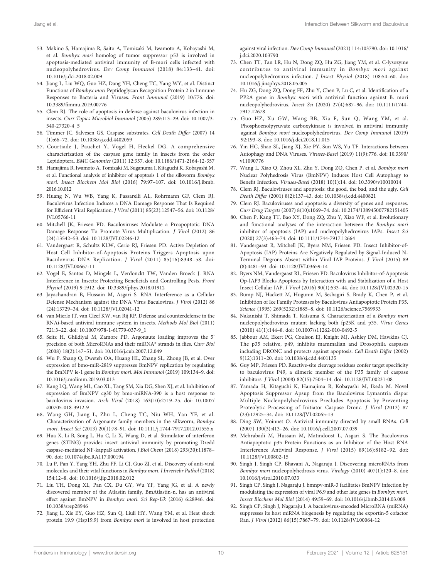- <span id="page-10-0"></span>53. Makino S, Hamajima R, Saito A, Tomizaki M, Iwamoto A, Kobayashi M, et al. Bombyx mori homolog of tumor suppressor p53 is involved in apoptosis-mediated antiviral immunity of B-mori cells infected with nucleopolyhedrovirus. Dev Comp Immunol (2018) 84:133–41. doi: [10.1016/j.dci.2018.02.009](https://doi.org/10.1016/j.dci.2018.02.009)
- 54. Jiang L, Liu WQ, Guo HZ, Dang YH, Cheng TC, Yang WY, et al. Distinct Functions of Bombyx mori Peptidoglycan Recognition Protein 2 in Immune Responses to Bacteria and Viruses. Front Immunol (2019) 10:776. doi: 10.3389/fi[mmu.2019.00776](https://doi.org/10.3389/fimmu.2019.00776)
- 55. Clem RJ. The role of apoptosis in defense against baculovirus infection in insects. Curr Topics Microbiol Immunol (2005) 289:113–29. doi: [10.1007/3-](https://doi.org/10.1007/3-540-27320-4_5) [540-27320-4\\_5](https://doi.org/10.1007/3-540-27320-4_5)
- 56. Timmer JC, Salvesen GS. Caspase substrates. Cell Death Differ (2007) 14 (1):66–72. doi: [10.1038/sj.cdd.4402059](https://doi.org/10.1038/sj.cdd.4402059)
- 57. Courtiade J, Pauchet Y, Vogel H, Heckel DG. A comprehensive characterization of the caspase gene family in insects from the order Lepidoptera. BMC Genomics (2011) 12:357. doi: [10.1186/1471-2164-12-357](https://doi.org/10.1186/1471-2164-12-357)
- 58. Hamajima R, Iwamoto A, Tomizaki M, Suganuma I, Kitaguchi K, Kobayashi M, et al. Functional analysis of inhibitor of apoptosis 1 of the silkworm Bombyx mori. Insect Biochem Mol Biol (2016) 79:97–107. doi: [10.1016/j.ibmb.](https://doi.org/10.1016/j.ibmb.2016.10.012) [2016.10.012](https://doi.org/10.1016/j.ibmb.2016.10.012)
- 59. Huang N, Wu WB, Yang K, Passarelli AL, Rohrmann GF, Clem RJ. Baculovirus Infection Induces a DNA Damage Response That Is Required for Efficient Viral Replication. J Virol (2011) 85(23):12547–56. doi: [10.1128/](https://doi.org/10.1128/JVI.05766-11) [JVI.05766-11](https://doi.org/10.1128/JVI.05766-11)
- 60. Mitchell JK, Friesen PD. Baculoviruses Modulate a Proapoptotic DNA Damage Response To Promote Virus Multiplication. J Virol (2012) 86 (24):13542–53. doi: [10.1128/JVI.02246-12](https://doi.org/10.1128/JVI.02246-12)
- 61. Vandergaast R, Schultz KLW, Cerio RJ, Friesen PD. Active Depletion of Host Cell Inhibitor-of-Apoptosis Proteins Triggers Apoptosis upon Baculovirus DNA Replication. J Virol (2011) 85(16):8348–58. doi: [10.1128/JVI.00667-11](https://doi.org/10.1128/JVI.00667-11)
- 62. Vogel E, Santos D, Mingels L, Verdonckt TW, Vanden Broeck J. RNA Interference in Insects: Protecting Beneficials and Controlling Pests. Front Physiol (2019) 9:1912. doi: [10.3389/fphys.2018.01912](https://doi.org/10.3389/fphys.2018.01912)
- 63. Jayachandran B, Hussain M, Asgari S. RNA Interference as a Cellular Defense Mechanism against the DNA Virus Baculovirus. J Virol (2012) 86 (24):13729–34. doi: [10.1128/JVI.02041-12](https://doi.org/10.1128/JVI.02041-12)
- 64. van Mierlo JT, van Cleef KW, van Rij RP. Defense and counterdefense in the RNAi-based antiviral immune system in insects. Methods Mol Biol (2011) 721:3–22. doi: [10.1007/978-1-61779-037-9\\_1](https://doi.org/10.1007/978-1-61779-037-9_1)
- 65. Seitz H, Ghildiyal M, Zamore PD. Argonaute loading improves the 5' precision of both MicroRNAs and their miRNA\* strands in flies. Curr Biol (2008) 18(2):147–51. doi: [10.1016/j.cub.2007.12.049](https://doi.org/10.1016/j.cub.2007.12.049)
- 66. Wu P, Shang Q, Dweteh OA, Huang HL, Zhang SL, Zhong JB, et al. Over expression of bmo-miR-2819 suppresses BmNPV replication by regulating the BmNPV ie-1 gene in Bombyx mori. Mol Immunol (2019) 109:134–9. doi: [10.1016/j.molimm.2019.03.013](https://doi.org/10.1016/j.molimm.2019.03.013)
- 67. Kang LQ, Wang ML, Cao XL, Tang SM, Xia DG, Shen XJ, et al. Inhibition of expression of BmNPV cg30 by bmo-miRNA-390 is a host response to baculovirus invasion. Arch Virol (2018) 163(10):2719–25. doi: [10.1007/](https://doi.org/10.1007/s00705-018-3912-9) [s00705-018-3912-9](https://doi.org/10.1007/s00705-018-3912-9)
- 68. Wang GH, Jiang L, Zhu L, Cheng TC, Niu WH, Yan YF, et al. Characterization of Argonaute family members in the silkworm, Bombyx mori. Insect Sci (2013) 20(1):78–91. doi: [10.1111/j.1744-7917.2012.01555.x](https://doi.org/10.1111/j.1744-7917.2012.01555.x)
- 69. Hua X, Li B, Song L, Hu C, Li X, Wang D, et al. Stimulator of interferon genes (STING) provides insect antiviral immunity by promoting Dredd caspase-mediated NF-kappaB activation. J Biol Chem (2018) 293(30):11878– 90. doi: [10.1074/jbc.RA117.000194](https://doi.org/10.1074/jbc.RA117.000194)
- 70. Lu P, Pan Y, Yang YH, Zhu FF, Li CJ, Guo ZJ, et al. Discovery of anti-viral molecules and their vital functions in Bombyx mori. J Invertebr Pathol (2018) 154:12–8. doi: [10.1016/j.jip.2018.02.012](https://doi.org/10.1016/j.jip.2018.02.012)
- 71. Liu TH, Dong XL, Pan CX, Du GY, Wu YF, Yang JG, et al. A newly discovered member of the Atlastin family, BmAtlastin-n, has an antiviral effect against BmNPV in Bombyx mori. Sci Rep-Uk (2016) 6:28946. doi: [10.1038/srep28946](https://doi.org/10.1038/srep28946)
- 72. Jiang L, Xie EY, Guo HZ, Sun Q, Liuli HY, Wang YM, et al. Heat shock protein 19.9 (Hsp19.9) from Bombyx mori is involved in host protection

against viral infection. Dev Comp Immunol (2021) 114:103790. doi: [10.1016/](https://doi.org/10.1016/j.dci.2020.103790) [j.dci.2020.103790](https://doi.org/10.1016/j.dci.2020.103790)

- 73. Chen TT, Tan LR, Hu N, Dong ZQ, Hu ZG, Jiang YM, et al. C-lysozyme contributes to antiviral immunity in Bombyx mori against nucleopolyhedrovirus infection. J Insect Physiol (2018) 108:54–60. doi: [10.1016/j.jinsphys.2018.05.005](https://doi.org/10.1016/j.jinsphys.2018.05.005)
- 74. Hu ZG, Dong ZQ, Dong FF, Zhu Y, Chen P, Lu C, et al. Identification of a PP2A gene in Bombyx mori with antiviral function against B. mori nucleopolyhedrovirus. Insect Sci (2020) 27(4):687–96. doi: [10.1111/1744-](https://doi.org/10.1111/1744-7917.12678) [7917.12678](https://doi.org/10.1111/1744-7917.12678)
- 75. Guo HZ, Xu GW, Wang BB, Xia F, Sun Q, Wang YM, et al. Phosphoenolpyruvate carboxykinase is involved in antiviral immunity against Bombyx mori nucleopolyhedrovirus. Dev Comp Immunol (2019) 92:193–8. doi: [10.1016/j.dci.2018.11.015](https://doi.org/10.1016/j.dci.2018.11.015)
- 76. Yin HC, Shao SL, Jiang XJ, Xie PY, Sun WS, Yu TF. Interactions between Autophagy and DNA Viruses. Viruses-Basel (2019) 11(9):776. doi: [10.3390/](https://doi.org/10.3390/v11090776) [v11090776](https://doi.org/10.3390/v11090776)
- 77. Wang L, Xiao Q, Zhou XL, Zhu Y, Dong ZQ, Chen P, et al. Bombyx mori Nuclear Polyhedrosis Virus (BmNPV) Induces Host Cell Autophagy to Benefit Infection. Viruses-Basel (2018) 10(1):14. doi: [10.3390/v10010014](https://doi.org/10.3390/v10010014)
- 78. Clem RJ. Baculoviruses and apoptosis: the good, the bad, and the ugly. Cell Death Differ (2001) 8(2):137–43. doi: [10.1038/sj.cdd.4400821](https://doi.org/10.1038/sj.cdd.4400821)
- Clem RJ. Baculoviruses and apoptosis: a diversity of genes and responses. Curr Drug Targets (2007) 8(10):1069–74. doi: [10.2174/138945007782151405](https://doi.org/10.2174/138945007782151405)
- 80. Chen P, Kang TT, Bao XY, Dong ZQ, Zhu Y, Xiao WF, et al. Evolutionary and functional analyses of the interaction between the Bombyx mori inhibitor of apoptosis (IAP) and nucleopolyhedrovirus IAPs. Insect Sci (2020) 27(3):463–74. doi: [10.1111/1744-7917.12664](https://doi.org/10.1111/1744-7917.12664)
- 81. Vandergaast R, Mitchell JK, Byers NM, Friesen PD. Insect Inhibitor-of-Apoptosis (IAP) Proteins Are Negatively Regulated by Signal-Induced N-Terminal Degrons Absent within Viral IAP Proteins. J Virol (2015) 89 (8):4481–93. doi: [10.1128/JVI.03659-14](https://doi.org/10.1128/JVI.03659-14)
- 82. Byers NM, Vandergaast RL, Friesen PD. Baculovirus Inhibitor-of-Apoptosis Op-IAP3 Blocks Apoptosis by Interaction with and Stabilization of a Host Insect Cellular IAP. J Virol (2016) 90(1):533–44. doi: [10.1128/JVI.02320-15](https://doi.org/10.1128/JVI.02320-15)
- 83. Bump NJ, Hackett M, Hugunin M, Seshagiri S, Brady K, Chen P, et al. Inhibition of Ice Family Proteases by Baculovirus Antiapoptotic Protein P35. Science (1995) 269(5232):1885–8. doi: [10.1126/science.7569933](https://doi.org/10.1126/science.7569933)
- 84. Nakanishi T, Shimada T, Katsuma S. Characterization of a Bombyx mori nucleopolyhedrovirus mutant lacking both fp25K and p35. Virus Genes (2010) 41(1):144–8. doi: [10.1007/s11262-010-0492-5](https://doi.org/10.1007/s11262-010-0492-5)
- 85. Jabbour AM, Ekert PG, Coulson EJ, Knight MJ, Ashley DM, Hawkins CJ. The p35 relative, p49, inhibits mammalian and Drosophila caspases including DRONC and protects against apoptosis. Cell Death Differ (2002) 9(12):1311–20. doi: [10.1038/sj.cdd.4401135](https://doi.org/10.1038/sj.cdd.4401135)
- 86. Guy MP, Friesen PD. Reactive-site cleavage residues confer target specificity to baculovirus P49, a dimeric member of the P35 family of caspase inhibitors. J Virol (2008) 82(15):7504–14. doi: [10.1128/JVI.00231-08](https://doi.org/10.1128/JVI.00231-08)
- 87. Yamada H, Kitaguchi K, Hamajima R, Kobayashi M, Ikeda M. Novel Apoptosis Suppressor Apsup from the Baculovirus Lymantria dispar Multiple Nucleopolyhedrovirus Precludes Apoptosis by Preventing Proteolytic Processing of Initiator Caspase Dronc. J Virol (2013) 87 (23):12925–34. doi: [10.1128/JVI.02065-13](https://doi.org/10.1128/JVI.02065-13)
- 88. Ding SW, Voinnet O. Antiviral immunity directed by small RNAs. Cell (2007) 130(3):413–26. doi: [10.1016/j.cell.2007.07.039](https://doi.org/10.1016/j.cell.2007.07.039)
- 89. Mehrabadi M, Hussain M, Matindoost L, Asgari S. The Baculovirus Antiapoptotic p35 Protein Functions as an Inhibitor of the Host RNA Interference Antiviral Response. J Virol (2015) 89(16):8182–92. doi: [10.1128/JVI.00802-15](https://doi.org/10.1128/JVI.00802-15)
- 90. Singh J, Singh CP, Bhavani A, Nagaraju J. Discovering microRNAs from Bombyx mori nucleopolyhedrosis virus. Virology (2010) 407(1):120–8. doi: [10.1016/j.virol.2010.07.033](https://doi.org/10.1016/j.virol.2010.07.033)
- 91. Singh CP, Singh J, Nagaraju J. bmnpv-miR-3 facilitates BmNPV infection by modulating the expression of viral P6.9 and other late genes in Bombyx mori. Insect Biochem Mol Biol (2014) 49:59–69. doi: [10.1016/j.ibmb.2014.03.008](https://doi.org/10.1016/j.ibmb.2014.03.008)
- 92. Singh CP, Singh J, Nagaraju J. A baculovirus-encoded MicroRNA (miRNA) suppresses its host miRNA biogenesis by regulating the exportin-5 cofactor Ran. J Virol (2012) 86(15):7867–79. doi: [10.1128/JVI.00064-12](https://doi.org/10.1128/JVI.00064-12)